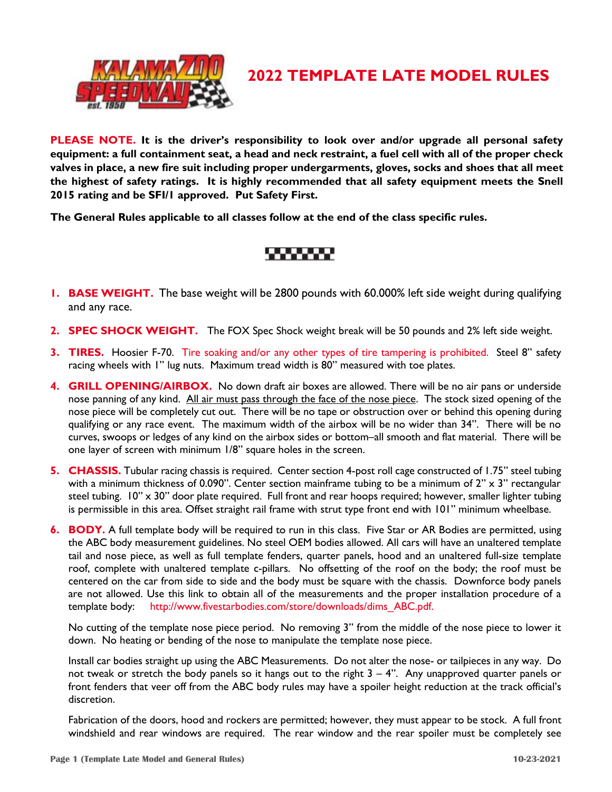

## **2022 TEMPLATE LATE MODEL RULES**

**PLEASE NOTE. It is the driver's responsibility to look over and/or upgrade all personal safety equipment: a full containment seat, a head and neck restraint, a fuel cell with all of the proper check valves in place, a new fire suit including proper undergarments, gloves, socks and shoes that all meet the highest of safety ratings. It is highly recommended that all safety equipment meets the Snell 2015 rating and be SFI/1 approved. Put Safety First.**

**The General Rules applicable to all classes follow at the end of the class specific rules.** 

# 888888

- **1. BASE WEIGHT.** The base weight will be 2800 pounds with 60.000% left side weight during qualifying and any race.
- **2. SPEC SHOCK WEIGHT.** The FOX Spec Shock weight break will be 50 pounds and 2% left side weight.
- **3. TIRES.** Hoosier F-70. Tire soaking and/or any other types of tire tampering is prohibited. Steel 8" safety racing wheels with 1" lug nuts. Maximum tread width is 80" measured with toe plates.
- **4. GRILL OPENING/AIRBOX.** No down draft air boxes are allowed. There will be no air pans or underside nose panning of any kind. All air must pass through the face of the nose piece. The stock sized opening of the nose piece will be completely cut out. There will be no tape or obstruction over or behind this opening during qualifying or any race event. The maximum width of the airbox will be no wider than 34". There will be no curves, swoops or ledges of any kind on the airbox sides or bottom–all smooth and flat material. There will be one layer of screen with minimum 1/8" square holes in the screen.
- **5. CHASSIS.** Tubular racing chassis is required. Center section 4-post roll cage constructed of 1.75" steel tubing with a minimum thickness of 0.090". Center section mainframe tubing to be a minimum of 2" x 3" rectangular steel tubing. 10" x 30" door plate required. Full front and rear hoops required; however, smaller lighter tubing is permissible in this area. Offset straight rail frame with strut type front end with 101" minimum wheelbase.
- **6. BODY.** A full template body will be required to run in this class. Five Star or AR Bodies are permitted, using the ABC body measurement guidelines. No steel OEM bodies allowed. All cars will have an unaltered template tail and nose piece, as well as full template fenders, quarter panels, hood and an unaltered full-size template roof, complete with unaltered template c-pillars. No offsetting of the roof on the body; the roof must be centered on the car from side to side and the body must be square with the chassis. Downforce body panels are not allowed. Use this link to obtain all of the measurements and the proper installation procedure of a template body: [http://www.fivestarbodies.com/store/downloads/dims\\_ABC.pdf.](http://www.fivestarbodies.com/store/downloads/dims_ABC.pdf)

No cutting of the template nose piece period. No removing 3" from the middle of the nose piece to lower it down. No heating or bending of the nose to manipulate the template nose piece.

Install car bodies straight up using the ABC Measurements. Do not alter the nose- or tailpieces in any way. Do not tweak or stretch the body panels so it hangs out to the right  $3 - 4$ ". Any unapproved quarter panels or front fenders that veer off from the ABC body rules may have a spoiler height reduction at the track official's discretion.

Fabrication of the doors, hood and rockers are permitted; however, they must appear to be stock. A full front windshield and rear windows are required. The rear window and the rear spoiler must be completely see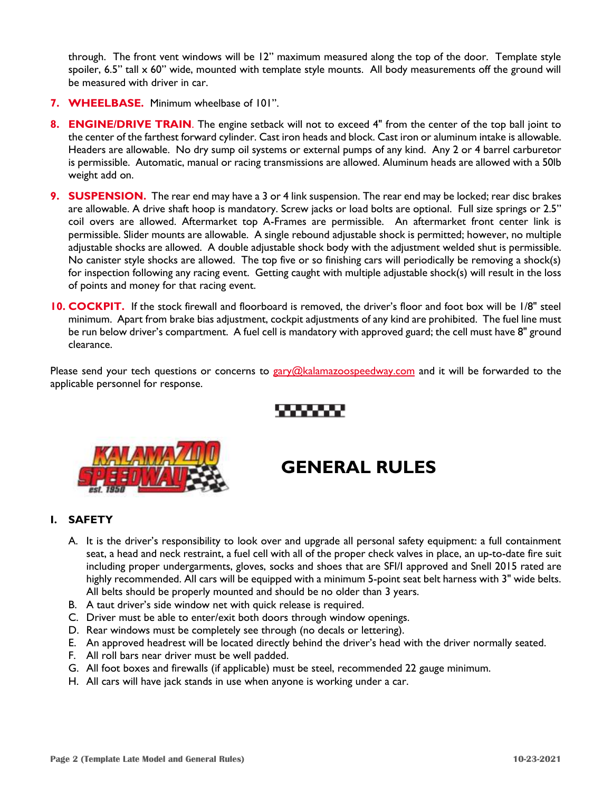through. The front vent windows will be 12" maximum measured along the top of the door. Template style spoiler,  $6.5$ " tall  $\times$  60" wide, mounted with template style mounts. All body measurements off the ground will be measured with driver in car.

- **7. WHEELBASE.** Minimum wheelbase of 101".
- **8. ENGINE/DRIVE TRAIN**. The engine setback will not to exceed 4" from the center of the top ball joint to the center of the farthest forward cylinder. Cast iron heads and block. Cast iron or aluminum intake is allowable. Headers are allowable. No dry sump oil systems or external pumps of any kind. Any 2 or 4 barrel carburetor is permissible. Automatic, manual or racing transmissions are allowed. Aluminum heads are allowed with a 50lb weight add on.
- **9. SUSPENSION.** The rear end may have a 3 or 4 link suspension. The rear end may be locked; rear disc brakes are allowable. A drive shaft hoop is mandatory. Screw jacks or load bolts are optional. Full size springs or 2.5" coil overs are allowed. Aftermarket top A-Frames are permissible. An aftermarket front center link is permissible. Slider mounts are allowable. A single rebound adjustable shock is permitted; however, no multiple adjustable shocks are allowed.A double adjustable shock body with the adjustment welded shut is permissible. No canister style shocks are allowed. The top five or so finishing cars will periodically be removing a shock(s) for inspection following any racing event.Getting caught with multiple adjustable shock(s) will result in the loss of points and money for that racing event.
- **10. COCKPIT.** If the stock firewall and floorboard is removed, the driver's floor and foot box will be 1/8" steel minimum. Apart from brake bias adjustment, cockpit adjustments of any kind are prohibited. The fuel line must be run below driver's compartment. A fuel cell is mandatory with approved guard; the cell must have 8" ground clearance.

Please send your tech questions or concerns to [gary@kalamazoospeedway.com](mailto:gary@kalamazoospeedway.com) and it will be forwarded to the applicable personnel for response.



# **GENERAL RULES**

#### **I. SAFETY**

- A. It is the driver's responsibility to look over and upgrade all personal safety equipment: a full containment seat, a head and neck restraint, a fuel cell with all of the proper check valves in place, an up-to-date fire suit including proper undergarments, gloves, socks and shoes that are SFI/I approved and Snell 2015 rated are highly recommended. All cars will be equipped with a minimum 5-point seat belt harness with 3" wide belts. All belts should be properly mounted and should be no older than 3 years.
- B. A taut driver's side window net with quick release is required.
- C. Driver must be able to enter/exit both doors through window openings.
- D. Rear windows must be completely see through (no decals or lettering).
- E. An approved headrest will be located directly behind the driver's head with the driver normally seated.
- F. All roll bars near driver must be well padded.
- G. All foot boxes and firewalls (if applicable) must be steel, recommended 22 gauge minimum.
- H. All cars will have jack stands in use when anyone is working under a car.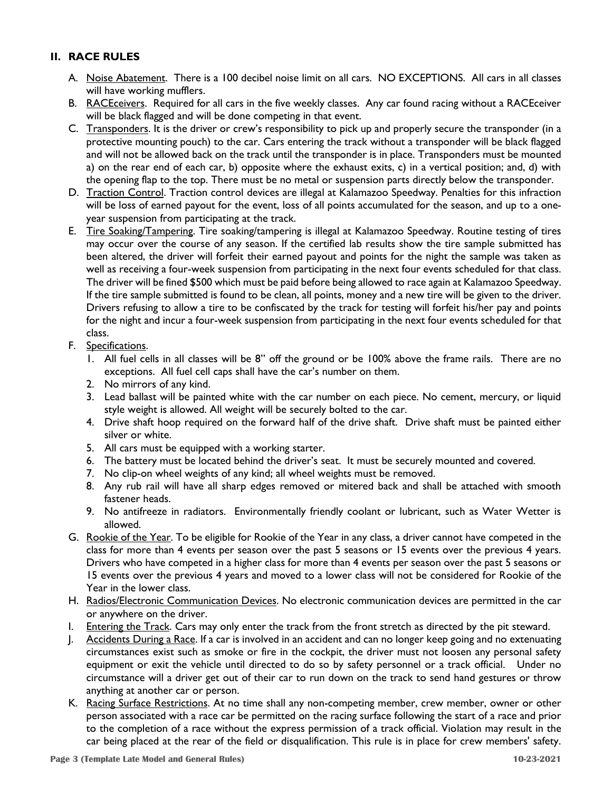### **II. RACE RULES**

- A. Noise Abatement. There is a 100 decibel noise limit on all cars. NO EXCEPTIONS. All cars in all classes will have working mufflers.
- B. RACEceivers. Required for all cars in the five weekly classes. Any car found racing without a RACEceiver will be black flagged and will be done competing in that event.
- C. Transponders. It is the driver or crew's responsibility to pick up and properly secure the transponder (in a protective mounting pouch) to the car. Cars entering the track without a transponder will be black flagged and will not be allowed back on the track until the transponder is in place. Transponders must be mounted a) on the rear end of each car, b) opposite where the exhaust exits, c) in a vertical position; and, d) with the opening flap to the top. There must be no metal or suspension parts directly below the transponder.
- D. Traction Control. Traction control devices are illegal at Kalamazoo Speedway. Penalties for this infraction will be loss of earned payout for the event, loss of all points accumulated for the season, and up to a oneyear suspension from participating at the track.
- E. Tire Soaking/Tampering. Tire soaking/tampering is illegal at Kalamazoo Speedway. Routine testing of tires may occur over the course of any season. If the certified lab results show the tire sample submitted has been altered, the driver will forfeit their earned payout and points for the night the sample was taken as well as receiving a four-week suspension from participating in the next four events scheduled for that class. The driver will be fined \$500 which must be paid before being allowed to race again at Kalamazoo Speedway. If the tire sample submitted is found to be clean, all points, money and a new tire will be given to the driver. Drivers refusing to allow a tire to be confiscated by the track for testing will forfeit his/her pay and points for the night and incur a four-week suspension from participating in the next four events scheduled for that class.
- F. Specifications.
	- 1. All fuel cells in all classes will be 8" off the ground or be 100% above the frame rails. There are no exceptions. All fuel cell caps shall have the car's number on them.
	- 2. No mirrors of any kind.
	- 3. Lead ballast will be painted white with the car number on each piece. No cement, mercury, or liquid style weight is allowed. All weight will be securely bolted to the car.
	- 4. Drive shaft hoop required on the forward half of the drive shaft. Drive shaft must be painted either silver or white.
	- 5. All cars must be equipped with a working starter.
	- 6. The battery must be located behind the driver's seat. It must be securely mounted and covered.
	- 7. No clip-on wheel weights of any kind; all wheel weights must be removed.
	- 8. Any rub rail will have all sharp edges removed or mitered back and shall be attached with smooth fastener heads.
	- 9. No antifreeze in radiators. Environmentally friendly coolant or lubricant, such as Water Wetter is allowed.
- G. Rookie of the Year. To be eligible for Rookie of the Year in any class, a driver cannot have competed in the class for more than 4 events per season over the past 5 seasons or 15 events over the previous 4 years. Drivers who have competed in a higher class for more than 4 events per season over the past 5 seasons or 15 events over the previous 4 years and moved to a lower class will not be considered for Rookie of the Year in the lower class.
- H. Radios/Electronic Communication Devices. No electronic communication devices are permitted in the car or anywhere on the driver.
- I. Entering the Track. Cars may only enter the track from the front stretch as directed by the pit steward.
- J. Accidents During a Race. If a car is involved in an accident and can no longer keep going and no extenuating circumstances exist such as smoke or fire in the cockpit, the driver must not loosen any personal safety equipment or exit the vehicle until directed to do so by safety personnel or a track official. Under no circumstance will a driver get out of their car to run down on the track to send hand gestures or throw anything at another car or person.
- K. Racing Surface Restrictions. At no time shall any non-competing member, crew member, owner or other person associated with a race car be permitted on the racing surface following the start of a race and prior to the completion of a race without the express permission of a track official. Violation may result in the car being placed at the rear of the field or disqualification. This rule is in place for crew members' safety.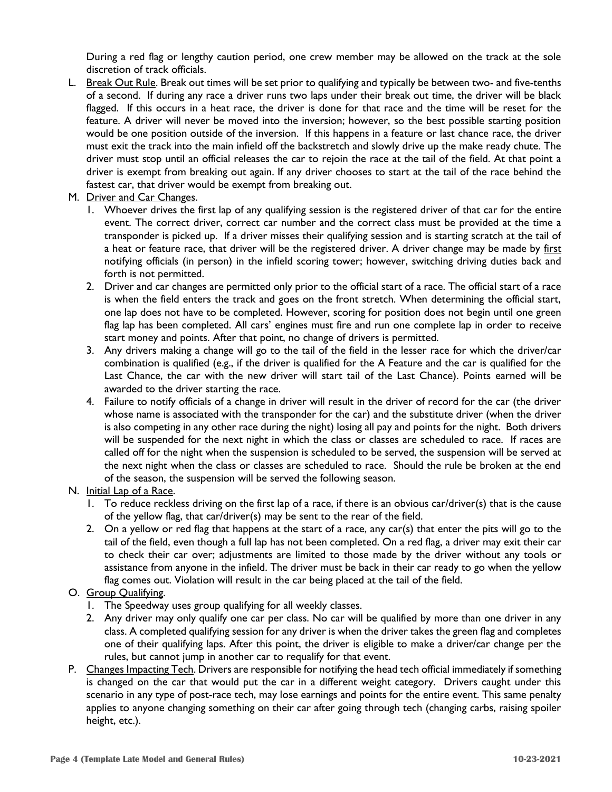During a red flag or lengthy caution period, one crew member may be allowed on the track at the sole discretion of track officials.

- L. Break Out Rule. Break out times will be set prior to qualifying and typically be between two- and five-tenths of a second. If during any race a driver runs two laps under their break out time, the driver will be black flagged. If this occurs in a heat race, the driver is done for that race and the time will be reset for the feature. A driver will never be moved into the inversion; however, so the best possible starting position would be one position outside of the inversion. If this happens in a feature or last chance race, the driver must exit the track into the main infield off the backstretch and slowly drive up the make ready chute. The driver must stop until an official releases the car to rejoin the race at the tail of the field. At that point a driver is exempt from breaking out again. If any driver chooses to start at the tail of the race behind the fastest car, that driver would be exempt from breaking out.
- M. Driver and Car Changes.
	- 1. Whoever drives the first lap of any qualifying session is the registered driver of that car for the entire event. The correct driver, correct car number and the correct class must be provided at the time a transponder is picked up. If a driver misses their qualifying session and is starting scratch at the tail of a heat or feature race, that driver will be the registered driver. A driver change may be made by first notifying officials (in person) in the infield scoring tower; however, switching driving duties back and forth is not permitted.
	- 2. Driver and car changes are permitted only prior to the official start of a race. The official start of a race is when the field enters the track and goes on the front stretch. When determining the official start, one lap does not have to be completed. However, scoring for position does not begin until one green flag lap has been completed. All cars' engines must fire and run one complete lap in order to receive start money and points. After that point, no change of drivers is permitted.
	- 3. Any drivers making a change will go to the tail of the field in the lesser race for which the driver/car combination is qualified (e.g., if the driver is qualified for the A Feature and the car is qualified for the Last Chance, the car with the new driver will start tail of the Last Chance). Points earned will be awarded to the driver starting the race.
	- 4. Failure to notify officials of a change in driver will result in the driver of record for the car (the driver whose name is associated with the transponder for the car) and the substitute driver (when the driver is also competing in any other race during the night) losing all pay and points for the night. Both drivers will be suspended for the next night in which the class or classes are scheduled to race. If races are called off for the night when the suspension is scheduled to be served, the suspension will be served at the next night when the class or classes are scheduled to race. Should the rule be broken at the end of the season, the suspension will be served the following season.
- N. Initial Lap of a Race.
	- 1. To reduce reckless driving on the first lap of a race, if there is an obvious car/driver(s) that is the cause of the yellow flag, that car/driver(s) may be sent to the rear of the field.
	- 2. On a yellow or red flag that happens at the start of a race, any car(s) that enter the pits will go to the tail of the field, even though a full lap has not been completed. On a red flag, a driver may exit their car to check their car over; adjustments are limited to those made by the driver without any tools or assistance from anyone in the infield. The driver must be back in their car ready to go when the yellow flag comes out. Violation will result in the car being placed at the tail of the field.
- O. Group Qualifying.
	- 1. The Speedway uses group qualifying for all weekly classes.
	- 2. Any driver may only qualify one car per class. No car will be qualified by more than one driver in any class. A completed qualifying session for any driver is when the driver takes the green flag and completes one of their qualifying laps. After this point, the driver is eligible to make a driver/car change per the rules, but cannot jump in another car to requalify for that event.
- P. Changes Impacting Tech. Drivers are responsible for notifying the head tech official immediately if something is changed on the car that would put the car in a different weight category. Drivers caught under this scenario in any type of post-race tech, may lose earnings and points for the entire event. This same penalty applies to anyone changing something on their car after going through tech (changing carbs, raising spoiler height, etc.).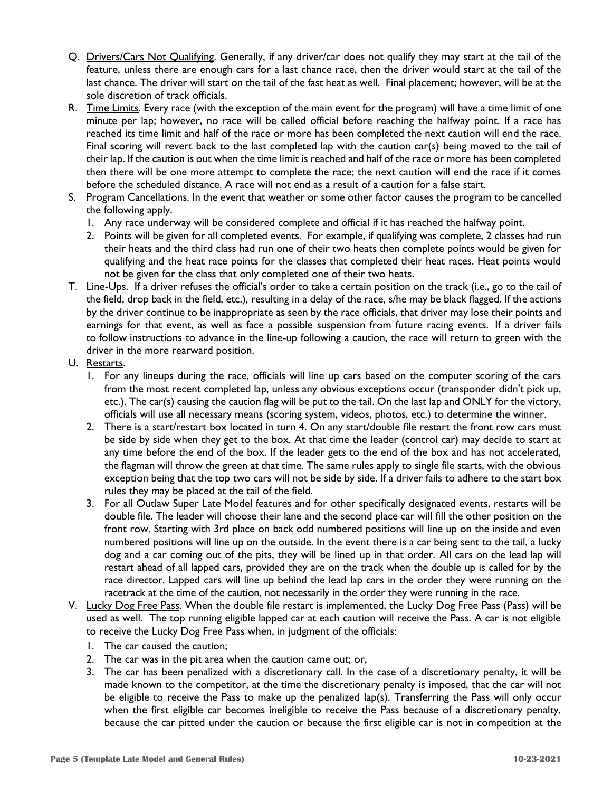- Q. Drivers/Cars Not Qualifying. Generally, if any driver/car does not qualify they may start at the tail of the feature, unless there are enough cars for a last chance race, then the driver would start at the tail of the last chance. The driver will start on the tail of the fast heat as well. Final placement; however, will be at the sole discretion of track officials.
- R. Time Limits. Every race (with the exception of the main event for the program) will have a time limit of one minute per lap; however, no race will be called official before reaching the halfway point. If a race has reached its time limit and half of the race or more has been completed the next caution will end the race. Final scoring will revert back to the last completed lap with the caution car(s) being moved to the tail of their lap. If the caution is out when the time limit is reached and half of the race or more has been completed then there will be one more attempt to complete the race; the next caution will end the race if it comes before the scheduled distance. A race will not end as a result of a caution for a false start.
- S. Program Cancellations. In the event that weather or some other factor causes the program to be cancelled the following apply.
	- 1. Any race underway will be considered complete and official if it has reached the halfway point.
	- 2. Points will be given for all completed events. For example, if qualifying was complete, 2 classes had run their heats and the third class had run one of their two heats then complete points would be given for qualifying and the heat race points for the classes that completed their heat races. Heat points would not be given for the class that only completed one of their two heats.
- T. Line-Ups. If a driver refuses the official's order to take a certain position on the track (i.e., go to the tail of the field, drop back in the field, etc.), resulting in a delay of the race, s/he may be black flagged. If the actions by the driver continue to be inappropriate as seen by the race officials, that driver may lose their points and earnings for that event, as well as face a possible suspension from future racing events. If a driver fails to follow instructions to advance in the line-up following a caution, the race will return to green with the driver in the more rearward position.
- U. Restarts.
	- 1. For any lineups during the race, officials will line up cars based on the computer scoring of the cars from the most recent completed lap, unless any obvious exceptions occur (transponder didn't pick up, etc.). The car(s) causing the caution flag will be put to the tail. On the last lap and ONLY for the victory, officials will use all necessary means (scoring system, videos, photos, etc.) to determine the winner.
	- 2. There is a start/restart box located in turn 4. On any start/double file restart the front row cars must be side by side when they get to the box. At that time the leader (control car) may decide to start at any time before the end of the box. If the leader gets to the end of the box and has not accelerated, the flagman will throw the green at that time. The same rules apply to single file starts, with the obvious exception being that the top two cars will not be side by side. If a driver fails to adhere to the start box rules they may be placed at the tail of the field.
	- 3. For all Outlaw Super Late Model features and for other specifically designated events, restarts will be double file. The leader will choose their lane and the second place car will fill the other position on the front row. Starting with 3rd place on back odd numbered positions will line up on the inside and even numbered positions will line up on the outside. In the event there is a car being sent to the tail, a lucky dog and a car coming out of the pits, they will be lined up in that order. All cars on the lead lap will restart ahead of all lapped cars, provided they are on the track when the double up is called for by the race director. Lapped cars will line up behind the lead lap cars in the order they were running on the racetrack at the time of the caution, not necessarily in the order they were running in the race.
- V. Lucky Dog Free Pass. When the double file restart is implemented, the Lucky Dog Free Pass (Pass) will be used as well. The top running eligible lapped car at each caution will receive the Pass. A car is not eligible to receive the Lucky Dog Free Pass when, in judgment of the officials:
	- 1. The car caused the caution;
	- 2. The car was in the pit area when the caution came out; or,
	- 3. The car has been penalized with a discretionary call. In the case of a discretionary penalty, it will be made known to the competitor, at the time the discretionary penalty is imposed, that the car will not be eligible to receive the Pass to make up the penalized lap(s). Transferring the Pass will only occur when the first eligible car becomes ineligible to receive the Pass because of a discretionary penalty, because the car pitted under the caution or because the first eligible car is not in competition at the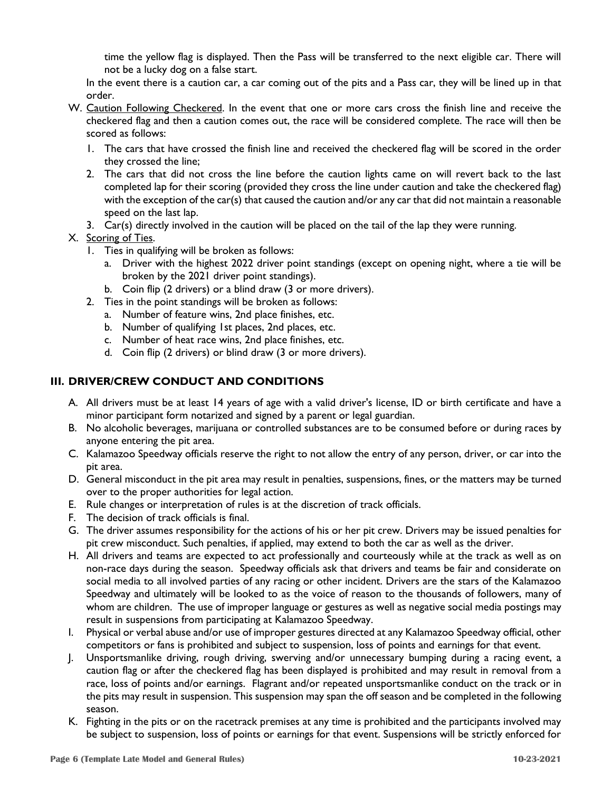time the yellow flag is displayed. Then the Pass will be transferred to the next eligible car. There will not be a lucky dog on a false start.

In the event there is a caution car, a car coming out of the pits and a Pass car, they will be lined up in that order.

- W. Caution Following Checkered. In the event that one or more cars cross the finish line and receive the checkered flag and then a caution comes out, the race will be considered complete. The race will then be scored as follows:
	- 1. The cars that have crossed the finish line and received the checkered flag will be scored in the order they crossed the line;
	- 2. The cars that did not cross the line before the caution lights came on will revert back to the last completed lap for their scoring (provided they cross the line under caution and take the checkered flag) with the exception of the car(s) that caused the caution and/or any car that did not maintain a reasonable speed on the last lap.
	- 3. Car(s) directly involved in the caution will be placed on the tail of the lap they were running.

#### X. Scoring of Ties.

- 1. Ties in qualifying will be broken as follows:
	- a. Driver with the highest 2022 driver point standings (except on opening night, where a tie will be broken by the 2021 driver point standings).
	- b. Coin flip (2 drivers) or a blind draw (3 or more drivers).
- 2. Ties in the point standings will be broken as follows:
	- a. Number of feature wins, 2nd place finishes, etc.
	- b. Number of qualifying 1st places, 2nd places, etc.
	- c. Number of heat race wins, 2nd place finishes, etc.
	- d. Coin flip (2 drivers) or blind draw (3 or more drivers).

#### **III. DRIVER/CREW CONDUCT AND CONDITIONS**

- A. All drivers must be at least 14 years of age with a valid driver's license, ID or birth certificate and have a minor participant form notarized and signed by a parent or legal guardian.
- B. No alcoholic beverages, marijuana or controlled substances are to be consumed before or during races by anyone entering the pit area.
- C. Kalamazoo Speedway officials reserve the right to not allow the entry of any person, driver, or car into the pit area.
- D. General misconduct in the pit area may result in penalties, suspensions, fines, or the matters may be turned over to the proper authorities for legal action.
- E. Rule changes or interpretation of rules is at the discretion of track officials.
- F. The decision of track officials is final.
- G. The driver assumes responsibility for the actions of his or her pit crew. Drivers may be issued penalties for pit crew misconduct. Such penalties, if applied, may extend to both the car as well as the driver.
- H. All drivers and teams are expected to act professionally and courteously while at the track as well as on non-race days during the season. Speedway officials ask that drivers and teams be fair and considerate on social media to all involved parties of any racing or other incident. Drivers are the stars of the Kalamazoo Speedway and ultimately will be looked to as the voice of reason to the thousands of followers, many of whom are children. The use of improper language or gestures as well as negative social media postings may result in suspensions from participating at Kalamazoo Speedway.
- I. Physical or verbal abuse and/or use of improper gestures directed at any Kalamazoo Speedway official, other competitors or fans is prohibited and subject to suspension, loss of points and earnings for that event.
- J. Unsportsmanlike driving, rough driving, swerving and/or unnecessary bumping during a racing event, a caution flag or after the checkered flag has been displayed is prohibited and may result in removal from a race, loss of points and/or earnings. Flagrant and/or repeated unsportsmanlike conduct on the track or in the pits may result in suspension. This suspension may span the off season and be completed in the following season.
- K. Fighting in the pits or on the racetrack premises at any time is prohibited and the participants involved may be subject to suspension, loss of points or earnings for that event. Suspensions will be strictly enforced for